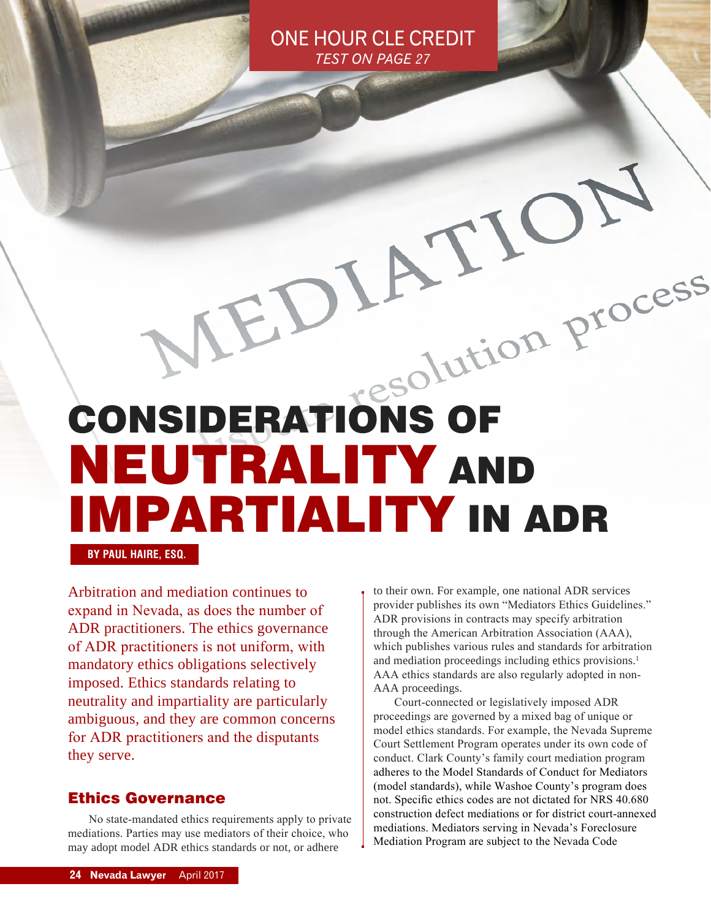ONE HOUR CLE CREDIT *TEST ON PAGE 27*

# CONSIDERATIONS OF NEUTRALITY AND IMPARTIALITY IN ADR

**BY PAUL HAIRE, ESQ.**

Arbitration and mediation continues to expand in Nevada, as does the number of ADR practitioners. The ethics governance of ADR practitioners is not uniform, with mandatory ethics obligations selectively imposed. Ethics standards relating to neutrality and impartiality are particularly ambiguous, and they are common concerns for ADR practitioners and the disputants they serve.

#### Ethics Governance

No state-mandated ethics requirements apply to private mediations. Parties may use mediators of their choice, who may adopt model ADR ethics standards or not, or adhere

to their own. For example, one national ADR services provider publishes its own "Mediators Ethics Guidelines." ADR provisions in contracts may specify arbitration through the American Arbitration Association (AAA), which publishes various rules and standards for arbitration and mediation proceedings including ethics provisions.<sup>1</sup> AAA ethics standards are also regularly adopted in non-AAA proceedings.

Court-connected or legislatively imposed ADR proceedings are governed by a mixed bag of unique or model ethics standards. For example, the Nevada Supreme Court Settlement Program operates under its own code of conduct. Clark County's family court mediation program adheres to the Model Standards of Conduct for Mediators (model standards), while Washoe County's program does not. Specific ethics codes are not dictated for NRS 40.680 construction defect mediations or for district court-annexed mediations. Mediators serving in Nevada's Foreclosure Mediation Program are subject to the Nevada Code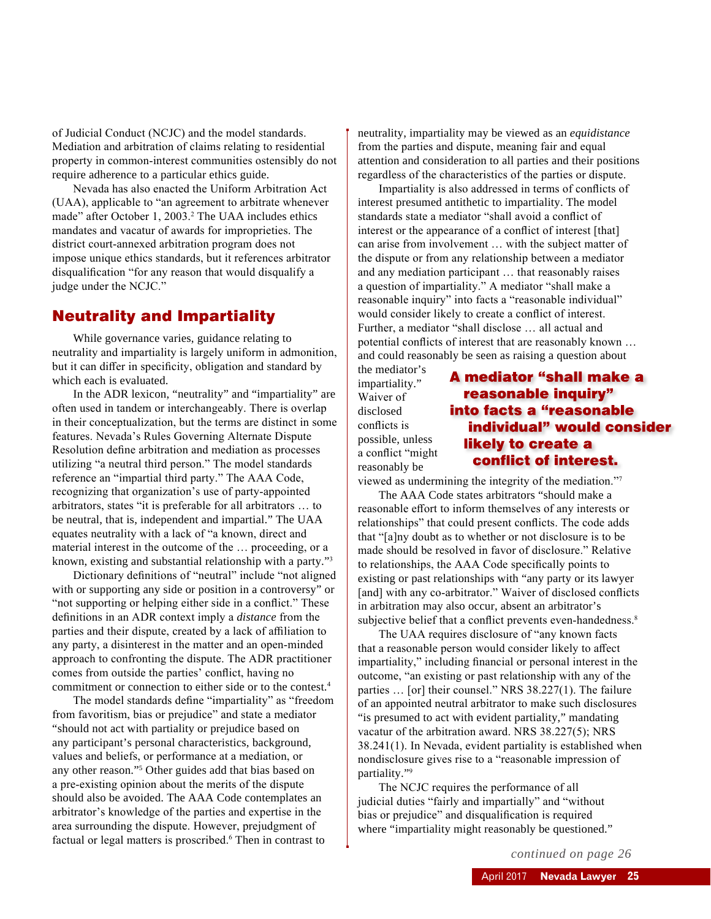of Judicial Conduct (NCJC) and the model standards. Mediation and arbitration of claims relating to residential property in common-interest communities ostensibly do not require adherence to a particular ethics guide.

Nevada has also enacted the Uniform Arbitration Act (UAA), applicable to "an agreement to arbitrate whenever made" after October 1, 2003.<sup>2</sup> The UAA includes ethics mandates and vacatur of awards for improprieties. The district court-annexed arbitration program does not impose unique ethics standards, but it references arbitrator disqualification "for any reason that would disqualify a judge under the NCJC."

#### Neutrality and Impartiality

While governance varies, guidance relating to neutrality and impartiality is largely uniform in admonition, but it can differ in specificity, obligation and standard by which each is evaluated.

In the ADR lexicon, "neutrality" and "impartiality" are often used in tandem or interchangeably. There is overlap in their conceptualization, but the terms are distinct in some features. Nevada's Rules Governing Alternate Dispute Resolution define arbitration and mediation as processes utilizing "a neutral third person." The model standards reference an "impartial third party." The AAA Code, recognizing that organization's use of party-appointed arbitrators, states "it is preferable for all arbitrators … to be neutral, that is, independent and impartial." The UAA equates neutrality with a lack of "a known, direct and material interest in the outcome of the … proceeding, or a known, existing and substantial relationship with a party."<sup>3</sup>

Dictionary definitions of "neutral" include "not aligned with or supporting any side or position in a controversy" or "not supporting or helping either side in a conflict." These definitions in an ADR context imply a *distance* from the parties and their dispute, created by a lack of affiliation to any party, a disinterest in the matter and an open-minded approach to confronting the dispute. The ADR practitioner comes from outside the parties' conflict, having no commitment or connection to either side or to the contest.4

The model standards define "impartiality" as "freedom from favoritism, bias or prejudice" and state a mediator "should not act with partiality or prejudice based on any participant's personal characteristics, background, values and beliefs, or performance at a mediation, or any other reason."5 Other guides add that bias based on a pre-existing opinion about the merits of the dispute should also be avoided. The AAA Code contemplates an arbitrator's knowledge of the parties and expertise in the area surrounding the dispute. However, prejudgment of factual or legal matters is proscribed.<sup>6</sup> Then in contrast to

neutrality, impartiality may be viewed as an *equidistance* from the parties and dispute, meaning fair and equal attention and consideration to all parties and their positions regardless of the characteristics of the parties or dispute.

Impartiality is also addressed in terms of conflicts of interest presumed antithetic to impartiality. The model standards state a mediator "shall avoid a conflict of interest or the appearance of a conflict of interest [that] can arise from involvement … with the subject matter of the dispute or from any relationship between a mediator and any mediation participant … that reasonably raises a question of impartiality." A mediator "shall make a reasonable inquiry" into facts a "reasonable individual" would consider likely to create a conflict of interest. Further, a mediator "shall disclose … all actual and potential conflicts of interest that are reasonably known … and could reasonably be seen as raising a question about

the mediator's impartiality." Waiver of disclosed conflicts is possible, unless a conflict "might reasonably be

#### A mediator "shall make a reasonable inquiry" into facts a "reasonable individual" would consider likely to create a conflict of interest.

viewed as undermining the integrity of the mediation."7

The AAA Code states arbitrators "should make a reasonable effort to inform themselves of any interests or relationships" that could present conflicts. The code adds that "[a]ny doubt as to whether or not disclosure is to be made should be resolved in favor of disclosure." Relative to relationships, the AAA Code specifically points to existing or past relationships with "any party or its lawyer [and] with any co-arbitrator." Waiver of disclosed conflicts in arbitration may also occur, absent an arbitrator's subjective belief that a conflict prevents even-handedness.<sup>8</sup>

The UAA requires disclosure of "any known facts that a reasonable person would consider likely to affect impartiality," including financial or personal interest in the outcome, "an existing or past relationship with any of the parties … [or] their counsel." NRS 38.227(1). The failure of an appointed neutral arbitrator to make such disclosures "is presumed to act with evident partiality," mandating vacatur of the arbitration award. NRS 38.227(5); NRS 38.241(1). In Nevada, evident partiality is established when nondisclosure gives rise to a "reasonable impression of partiality."<sup>9</sup>

The NCJC requires the performance of all judicial duties "fairly and impartially" and "without bias or prejudice" and disqualification is required where "impartiality might reasonably be questioned."

*continued on page 26*